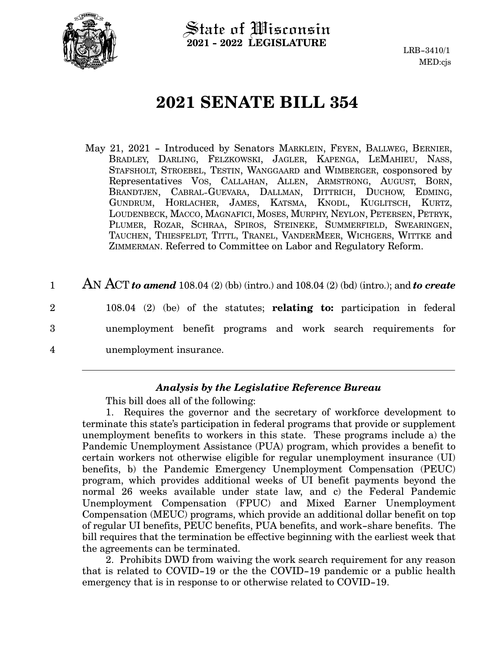

State of Wisconsin **2021 - 2022 LEGISLATURE**

# **2021 SENATE BILL 354**

- May 21, 2021 Introduced by Senators MARKLEIN, FEYEN, BALLWEG, BERNIER, BRADLEY, DARLING, FELZKOWSKI, JAGLER, KAPENGA, LEMAHIEU, NASS, STAFSHOLT, STROEBEL, TESTIN, WANGGAARD and WIMBERGER, cosponsored by Representatives VOS, CALLAHAN, ALLEN, ARMSTRONG, AUGUST, BORN, BRANDTJEN, CABRAL-GUEVARA, DALLMAN, DITTRICH, DUCHOW, EDMING, GUNDRUM, HORLACHER, JAMES, KATSMA, KNODL, KUGLITSCH, KURTZ, LOUDENBECK, MACCO, MAGNAFICI, MOSES, MURPHY, NEYLON, PETERSEN, PETRYK, PLUMER, ROZAR, SCHRAA, SPIROS, STEINEKE, SUMMERFIELD, SWEARINGEN, TAUCHEN, THIESFELDT, TITTL, TRANEL, VANDERMEER, WICHGERS, WITTKE and ZIMMERMAN. Referred to Committee on Labor and Regulatory Reform.
- AN ACT *to amend* 108.04 (2) (bb) (intro.) and 108.04 (2) (bd) (intro.); and *to create* 108.04 (2) (be) of the statutes; **relating to:** participation in federal unemployment benefit programs and work search requirements for unemployment insurance. 1 2 3 4

# *Analysis by the Legislative Reference Bureau*

This bill does all of the following:

1. Requires the governor and the secretary of workforce development to terminate this state's participation in federal programs that provide or supplement unemployment benefits to workers in this state. These programs include a) the Pandemic Unemployment Assistance (PUA) program, which provides a benefit to certain workers not otherwise eligible for regular unemployment insurance (UI) benefits, b) the Pandemic Emergency Unemployment Compensation (PEUC) program, which provides additional weeks of UI benefit payments beyond the normal 26 weeks available under state law, and c) the Federal Pandemic Unemployment Compensation (FPUC) and Mixed Earner Unemployment Compensation (MEUC) programs, which provide an additional dollar benefit on top of regular UI benefits, PEUC benefits, PUA benefits, and work-share benefits. The bill requires that the termination be effective beginning with the earliest week that the agreements can be terminated.

2. Prohibits DWD from waiving the work search requirement for any reason that is related to COVID-19 or the the COVID-19 pandemic or a public health emergency that is in response to or otherwise related to COVID-19.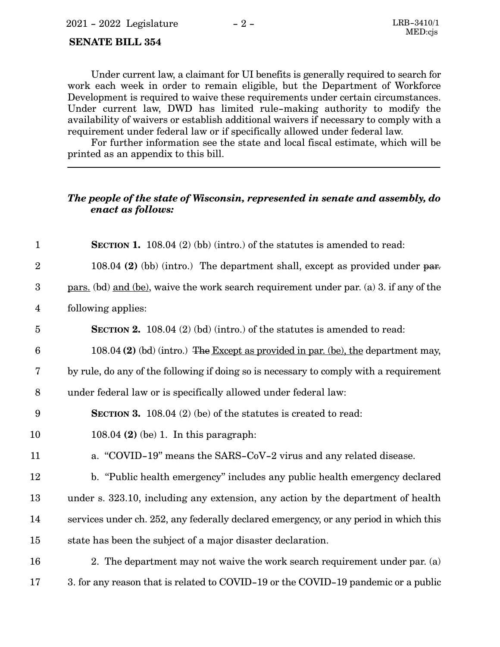#### **SENATE BILL 354**

Under current law, a claimant for UI benefits is generally required to search for work each week in order to remain eligible, but the Department of Workforce Development is required to waive these requirements under certain circumstances. Under current law, DWD has limited rule-making authority to modify the availability of waivers or establish additional waivers if necessary to comply with a requirement under federal law or if specifically allowed under federal law.

For further information see the state and local fiscal estimate, which will be printed as an appendix to this bill.

### *The people of the state of Wisconsin, represented in senate and assembly, do enact as follows:*

| $\mathbf{1}$            | <b>SECTION 1.</b> 108.04 $(2)$ (bb) (intro.) of the statutes is amended to read:                      |
|-------------------------|-------------------------------------------------------------------------------------------------------|
| $\overline{2}$          | 108.04 (2) (bb) (intro.) The department shall, except as provided under par.                          |
| $\boldsymbol{3}$        | <u>pars.</u> (bd) <u>and (be)</u> , waive the work search requirement under par. (a) 3. if any of the |
| $\overline{\mathbf{4}}$ | following applies:                                                                                    |
| $\overline{5}$          | <b>SECTION 2.</b> 108.04 (2) (bd) (intro.) of the statutes is amended to read:                        |
| $6\phantom{1}6$         | 108.04 (2) (bd) (intro.) The Except as provided in par. (be), the department may,                     |
| $\overline{7}$          | by rule, do any of the following if doing so is necessary to comply with a requirement                |
| 8                       | under federal law or is specifically allowed under federal law:                                       |
| 9                       | <b>SECTION 3.</b> 108.04 (2) (be) of the statutes is created to read:                                 |
| 10                      | 108.04 $(2)$ (be) 1. In this paragraph:                                                               |
| 11                      | a. "COVID-19" means the SARS-CoV-2 virus and any related disease.                                     |
| 12                      | b. "Public health emergency" includes any public health emergency declared                            |
| 13                      | under s. 323.10, including any extension, any action by the department of health                      |
| 14                      | services under ch. 252, any federally declared emergency, or any period in which this                 |
| 15                      | state has been the subject of a major disaster declaration.                                           |
| 16                      | 2. The department may not waive the work search requirement under par. (a)                            |
|                         |                                                                                                       |

3. for any reason that is related to COVID-19 or the COVID-19 pandemic or a public 17